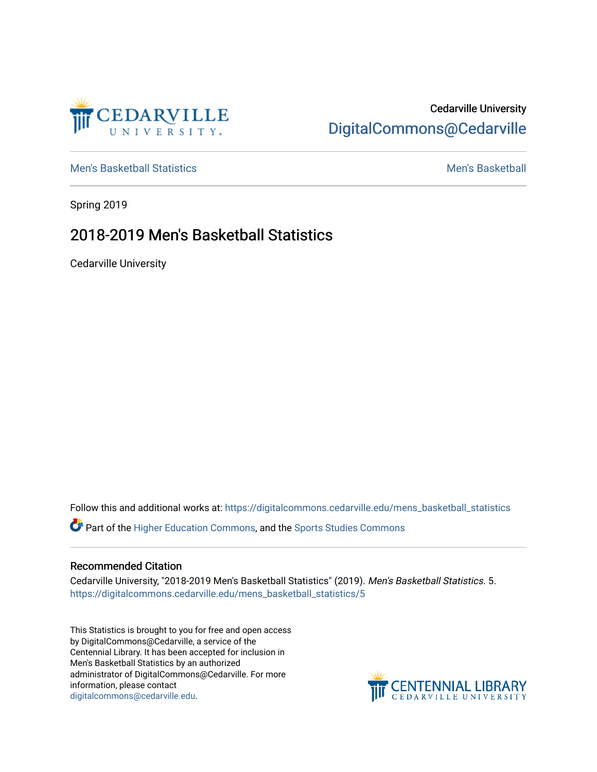

## Cedarville University [DigitalCommons@Cedarville](https://digitalcommons.cedarville.edu/)

[Men's Basketball Statistics](https://digitalcommons.cedarville.edu/mens_basketball_statistics) [Men's Basketball](https://digitalcommons.cedarville.edu/mens_basketball) 

Spring 2019

## 2018-2019 Men's Basketball Statistics

Cedarville University

Follow this and additional works at: [https://digitalcommons.cedarville.edu/mens\\_basketball\\_statistics](https://digitalcommons.cedarville.edu/mens_basketball_statistics?utm_source=digitalcommons.cedarville.edu%2Fmens_basketball_statistics%2F5&utm_medium=PDF&utm_campaign=PDFCoverPages) 

Part of the [Higher Education Commons,](http://network.bepress.com/hgg/discipline/1245?utm_source=digitalcommons.cedarville.edu%2Fmens_basketball_statistics%2F5&utm_medium=PDF&utm_campaign=PDFCoverPages) and the [Sports Studies Commons](http://network.bepress.com/hgg/discipline/1198?utm_source=digitalcommons.cedarville.edu%2Fmens_basketball_statistics%2F5&utm_medium=PDF&utm_campaign=PDFCoverPages) 

## Recommended Citation

Cedarville University, "2018-2019 Men's Basketball Statistics" (2019). Men's Basketball Statistics. 5. [https://digitalcommons.cedarville.edu/mens\\_basketball\\_statistics/5](https://digitalcommons.cedarville.edu/mens_basketball_statistics/5?utm_source=digitalcommons.cedarville.edu%2Fmens_basketball_statistics%2F5&utm_medium=PDF&utm_campaign=PDFCoverPages) 

This Statistics is brought to you for free and open access by DigitalCommons@Cedarville, a service of the Centennial Library. It has been accepted for inclusion in Men's Basketball Statistics by an authorized administrator of DigitalCommons@Cedarville. For more information, please contact [digitalcommons@cedarville.edu](mailto:digitalcommons@cedarville.edu).